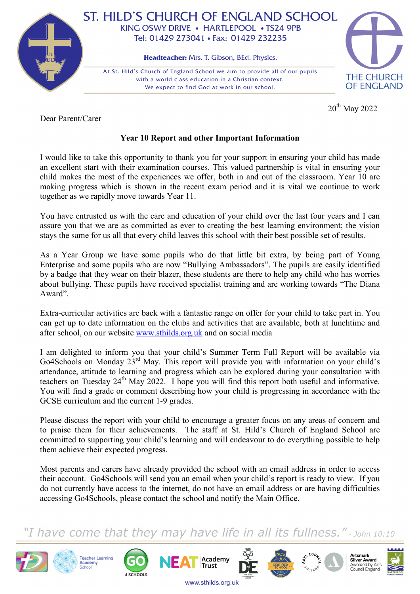

## ST. HILD'S CHURCH OF ENGLAND SCHOOL KING OSWY DRIVE • HARTLEPOOL • TS24 9PB Tel: 01429 273041 • Fax: 01429 232235

Headteacher: Mrs. T. Gibson, BEd. Physics.

At St. Hild's Church of England School we aim to provide all of our pupils with a world class education in a Christian context. We expect to find God at work in our school.



20<sup>th</sup> May 2022

Dear Parent/Carer

## **Year 10 Report and other Important Information**

I would like to take this opportunity to thank you for your support in ensuring your child has made an excellent start with their examination courses. This valued partnership is vital in ensuring your child makes the most of the experiences we offer, both in and out of the classroom. Year 10 are making progress which is shown in the recent exam period and it is vital we continue to work together as we rapidly move towards Year 11.

You have entrusted us with the care and education of your child over the last four years and I can assure you that we are as committed as ever to creating the best learning environment; the vision stays the same for us all that every child leaves this school with their best possible set of results.

As a Year Group we have some pupils who do that little bit extra, by being part of Young Enterprise and some pupils who are now "Bullying Ambassadors". The pupils are easily identified by a badge that they wear on their blazer, these students are there to help any child who has worries about bullying. These pupils have received specialist training and are working towards "The Diana Award".

Extra-curricular activities are back with a fantastic range on offer for your child to take part in. You can get up to date information on the clubs and activities that are available, both at lunchtime and after school, on our website [www.sthilds.org.uk](http://www.sthilds.org.uk/) and on social media

I am delighted to inform you that your child's Summer Term Full Report will be available via Go4Schools on Monday 23<sup>rd</sup> May. This report will provide you with information on your child's attendance, attitude to learning and progress which can be explored during your consultation with teachers on Tuesday 24<sup>th</sup> May 2022. I hope you will find this report both useful and informative. You will find a grade or comment describing how your child is progressing in accordance with the GCSE curriculum and the current 1-9 grades.

Please discuss the report with your child to encourage a greater focus on any areas of concern and to praise them for their achievements. The staff at St. Hild's Church of England School are committed to supporting your child's learning and will endeavour to do everything possible to help them achieve their expected progress.

Most parents and carers have already provided the school with an email address in order to access their account. Go4Schools will send you an email when your child's report is ready to view. If you do not currently have access to the internet, do not have an email address or are having difficulties accessing Go4Schools, please contact the school and notify the Main Office.

## have come that they may have life in all its fullness." - John 10:10

Academy

**Trust** 

www.sthilds.org.uk